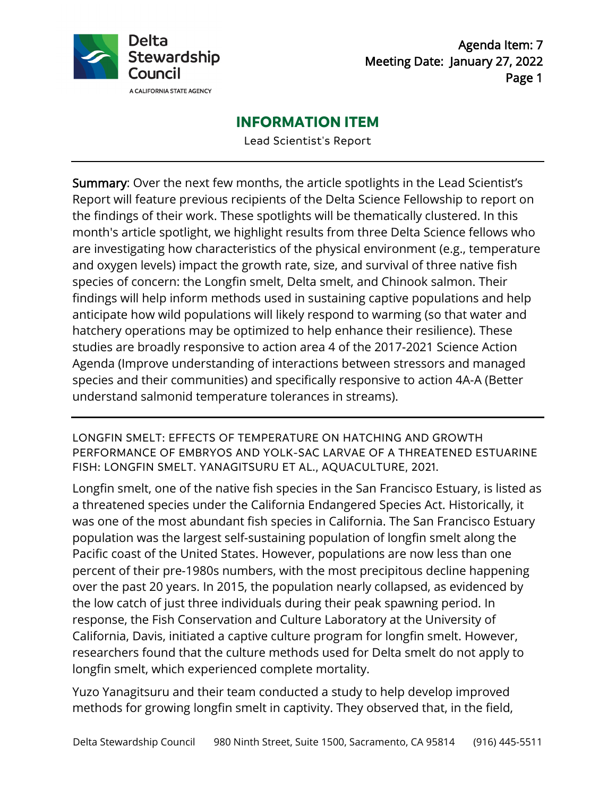

Agenda Item: 7 Meeting Date: January 27, 2022 Page 1

# **INFORMATION ITEM**

Lead Scientist's Report

Summary: Over the next few months, the article spotlights in the Lead Scientist's Report will feature previous recipients of the Delta Science Fellowship to report on the findings of their work. These spotlights will be thematically clustered. In this month's article spotlight, we highlight results from three Delta Science fellows who are investigating how characteristics of the physical environment (e.g., temperature and oxygen levels) impact the growth rate, size, and survival of three native fish species of concern: the Longfin smelt, Delta smelt, and Chinook salmon. Their findings will help inform methods used in sustaining captive populations and help anticipate how wild populations will likely respond to warming (so that water and hatchery operations may be optimized to help enhance their resilience). These studies are broadly responsive to action area 4 of the 2017-2021 Science Action Agenda (Improve understanding of interactions between stressors and managed species and their communities) and specifically responsive to action 4A-A (Better understand salmonid temperature tolerances in streams).

LONGFIN SMELT: EFFECTS OF TEMPERATURE ON HATCHING AND GROWTH PERFORMANCE OF EMBRYOS AND YOLK-SAC LARVAE OF A THREATENED ESTUARINE FISH: LONGFIN SMELT. YANAGITSURU ET AL., AQUACULTURE, 2021.

Longfin smelt, one of the native fish species in the San Francisco Estuary, is listed as a threatened species under the California Endangered Species Act. Historically, it was one of the most abundant fish species in California. The San Francisco Estuary population was the largest self-sustaining population of longfin smelt along the Pacific coast of the United States. However, populations are now less than one percent of their pre-1980s numbers, with the most precipitous decline happening over the past 20 years. In 2015, the population nearly collapsed, as evidenced by the low catch of just three individuals during their peak spawning period. In response, the Fish Conservation and Culture Laboratory at the University of California, Davis, initiated a captive culture program for longfin smelt. However, researchers found that the culture methods used for Delta smelt do not apply to longfin smelt, which experienced complete mortality.

Yuzo Yanagitsuru and their team conducted a study to help develop improved methods for growing longfin smelt in captivity. They observed that, in the field,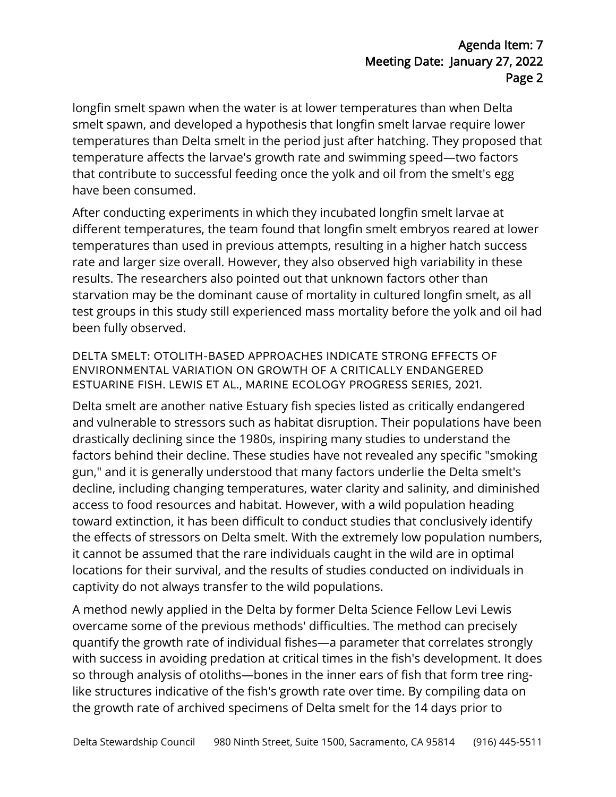longfin smelt spawn when the water is at lower temperatures than when Delta smelt spawn, and developed a hypothesis that longfin smelt larvae require lower temperatures than Delta smelt in the period just after hatching. They proposed that temperature affects the larvae's growth rate and swimming speed—two factors that contribute to successful feeding once the yolk and oil from the smelt's egg have been consumed.

After conducting experiments in which they incubated longfin smelt larvae at different temperatures, the team found that longfin smelt embryos reared at lower temperatures than used in previous attempts, resulting in a higher hatch success rate and larger size overall. However, they also observed high variability in these results. The researchers also pointed out that unknown factors other than starvation may be the dominant cause of mortality in cultured longfin smelt, as all test groups in this study still experienced mass mortality before the yolk and oil had been fully observed.

DELTA SMELT: OTOLITH-BASED APPROACHES INDICATE STRONG EFFECTS OF ENVIRONMENTAL VARIATION ON GROWTH OF A CRITICALLY ENDANGERED ESTUARINE FISH. LEWIS ET AL., MARINE ECOLOGY PROGRESS SERIES, 2021.

Delta smelt are another native Estuary fish species listed as critically endangered and vulnerable to stressors such as habitat disruption. Their populations have been drastically declining since the 1980s, inspiring many studies to understand the factors behind their decline. These studies have not revealed any specific "smoking gun," and it is generally understood that many factors underlie the Delta smelt's decline, including changing temperatures, water clarity and salinity, and diminished access to food resources and habitat. However, with a wild population heading toward extinction, it has been difficult to conduct studies that conclusively identify the effects of stressors on Delta smelt. With the extremely low population numbers, it cannot be assumed that the rare individuals caught in the wild are in optimal locations for their survival, and the results of studies conducted on individuals in captivity do not always transfer to the wild populations.

A method newly applied in the Delta by former Delta Science Fellow Levi Lewis overcame some of the previous methods' difficulties. The method can precisely quantify the growth rate of individual fishes—a parameter that correlates strongly with success in avoiding predation at critical times in the fish's development. It does so through analysis of otoliths—bones in the inner ears of fish that form tree ringlike structures indicative of the fish's growth rate over time. By compiling data on the growth rate of archived specimens of Delta smelt for the 14 days prior to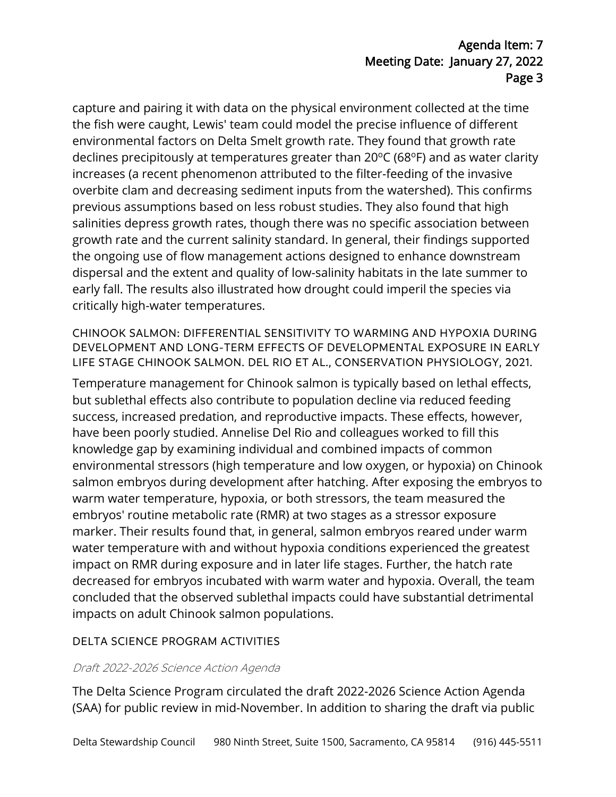# Agenda Item: 7 Meeting Date: January 27, 2022 Page 3

capture and pairing it with data on the physical environment collected at the time the fish were caught, Lewis' team could model the precise influence of different environmental factors on Delta Smelt growth rate. They found that growth rate declines precipitously at temperatures greater than  $20^{\circ}$ C (68 $^{\circ}$ F) and as water clarity increases (a recent phenomenon attributed to the filter-feeding of the invasive overbite clam and decreasing sediment inputs from the watershed). This confirms previous assumptions based on less robust studies. They also found that high salinities depress growth rates, though there was no specific association between growth rate and the current salinity standard. In general, their findings supported the ongoing use of flow management actions designed to enhance downstream dispersal and the extent and quality of low-salinity habitats in the late summer to early fall. The results also illustrated how drought could imperil the species via critically high-water temperatures.

CHINOOK SALMON: DIFFERENTIAL SENSITIVITY TO WARMING AND HYPOXIA DURING DEVELOPMENT AND LONG-TERM EFFECTS OF DEVELOPMENTAL EXPOSURE IN EARLY LIFE STAGE CHINOOK SALMON. DEL RIO ET AL., CONSERVATION PHYSIOLOGY, 2021.

Temperature management for Chinook salmon is typically based on lethal effects, but sublethal effects also contribute to population decline via reduced feeding success, increased predation, and reproductive impacts. These effects, however, have been poorly studied. Annelise Del Rio and colleagues worked to fill this knowledge gap by examining individual and combined impacts of common environmental stressors (high temperature and low oxygen, or hypoxia) on Chinook salmon embryos during development after hatching. After exposing the embryos to warm water temperature, hypoxia, or both stressors, the team measured the embryos' routine metabolic rate (RMR) at two stages as a stressor exposure marker. Their results found that, in general, salmon embryos reared under warm water temperature with and without hypoxia conditions experienced the greatest impact on RMR during exposure and in later life stages. Further, the hatch rate decreased for embryos incubated with warm water and hypoxia. Overall, the team concluded that the observed sublethal impacts could have substantial detrimental impacts on adult Chinook salmon populations.

## DELTA SCIENCE PROGRAM ACTIVITIES

#### Draft 2022-2026 Science Action Agenda

The Delta Science Program circulated the draft 2022-2026 Science Action Agenda (SAA) for public review in mid-November. In addition to sharing the draft via public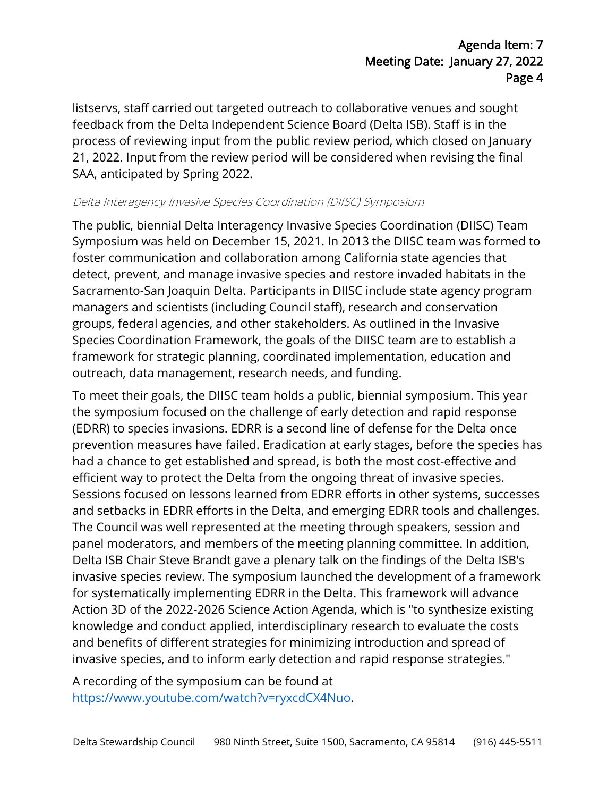listservs, staff carried out targeted outreach to collaborative venues and sought feedback from the Delta Independent Science Board (Delta ISB). Staff is in the process of reviewing input from the public review period, which closed on January 21, 2022. Input from the review period will be considered when revising the final SAA, anticipated by Spring 2022.

#### Delta Interagency Invasive Species Coordination (DIISC) Symposium

The public, biennial Delta Interagency Invasive Species Coordination (DIISC) Team Symposium was held on December 15, 2021. In 2013 the DIISC team was formed to foster communication and collaboration among California state agencies that detect, prevent, and manage invasive species and restore invaded habitats in the Sacramento-San Joaquin Delta. Participants in DIISC include state agency program managers and scientists (including Council staff), research and conservation groups, federal agencies, and other stakeholders. As outlined in the Invasive Species Coordination Framework, the goals of the DIISC team are to establish a framework for strategic planning, coordinated implementation, education and outreach, data management, research needs, and funding.

To meet their goals, the DIISC team holds a public, biennial symposium. This year the symposium focused on the challenge of early detection and rapid response (EDRR) to species invasions. EDRR is a second line of defense for the Delta once prevention measures have failed. Eradication at early stages, before the species has had a chance to get established and spread, is both the most cost-effective and efficient way to protect the Delta from the ongoing threat of invasive species. Sessions focused on lessons learned from EDRR efforts in other systems, successes and setbacks in EDRR efforts in the Delta, and emerging EDRR tools and challenges. The Council was well represented at the meeting through speakers, session and panel moderators, and members of the meeting planning committee. In addition, Delta ISB Chair Steve Brandt gave a plenary talk on the findings of the Delta ISB's invasive species review. The symposium launched the development of a framework for systematically implementing EDRR in the Delta. This framework will advance Action 3D of the 2022-2026 Science Action Agenda, which is "to synthesize existing knowledge and conduct applied, interdisciplinary research to evaluate the costs and benefits of different strategies for minimizing introduction and spread of invasive species, and to inform early detection and rapid response strategies."

A recording of the symposium can be found at [https://www.youtube.com/watch?v=ryxcdCX4Nuo.](https://www.youtube.com/watch?v=ryxcdCX4Nuo)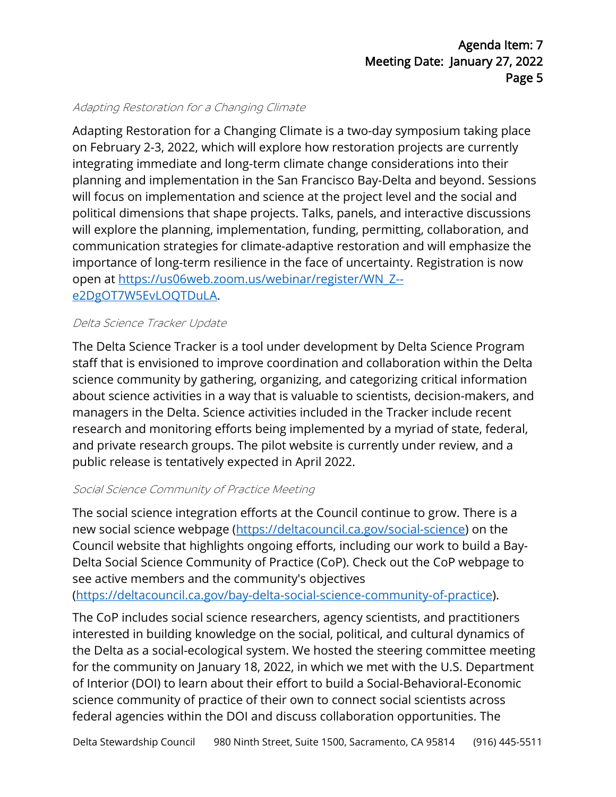### Adapting Restoration for a Changing Climate

Adapting Restoration for a Changing Climate is a two-day symposium taking place on February 2-3, 2022, which will explore how restoration projects are currently integrating immediate and long-term climate change considerations into their planning and implementation in the San Francisco Bay-Delta and beyond. Sessions will focus on implementation and science at the project level and the social and political dimensions that shape projects. Talks, panels, and interactive discussions will explore the planning, implementation, funding, permitting, collaboration, and communication strategies for climate-adaptive restoration and will emphasize the importance of long-term resilience in the face of uncertainty. Registration is now open at [https://us06web.zoom.us/webinar/register/WN\\_Z-](https://us06web.zoom.us/webinar/register/WN_Z--e2DgOT7W5EvLOQTDuLA) [e2DgOT7W5EvLOQTDuLA.](https://us06web.zoom.us/webinar/register/WN_Z--e2DgOT7W5EvLOQTDuLA)

#### Delta Science Tracker Update

The Delta Science Tracker is a tool under development by Delta Science Program staff that is envisioned to improve coordination and collaboration within the Delta science community by gathering, organizing, and categorizing critical information about science activities in a way that is valuable to scientists, decision-makers, and managers in the Delta. Science activities included in the Tracker include recent research and monitoring efforts being implemented by a myriad of state, federal, and private research groups. The pilot website is currently under review, and a public release is tentatively expected in April 2022.

#### Social Science Community of Practice Meeting

The social science integration efforts at the Council continue to grow. There is a new social science webpage [\(https://deltacouncil.ca.gov/social-science\)](https://deltacouncil.ca.gov/social-science) on the Council website that highlights ongoing efforts, including our work to build a Bay-Delta Social Science Community of Practice (CoP). Check out the CoP webpage to see active members and the community's objectives

[\(https://deltacouncil.ca.gov/bay-delta-social-science-community-of-practice\)](https://deltacouncil.ca.gov/bay-delta-social-science-community-of-practice).

The CoP includes social science researchers, agency scientists, and practitioners interested in building knowledge on the social, political, and cultural dynamics of the Delta as a social-ecological system. We hosted the steering committee meeting for the community on January 18, 2022, in which we met with the U.S. Department of Interior (DOI) to learn about their effort to build a Social-Behavioral-Economic science community of practice of their own to connect social scientists across federal agencies within the DOI and discuss collaboration opportunities. The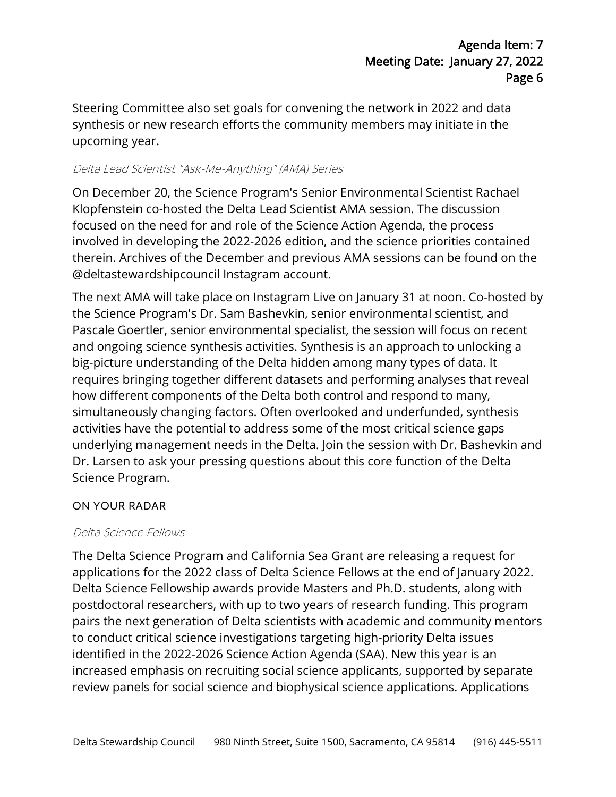Steering Committee also set goals for convening the network in 2022 and data synthesis or new research efforts the community members may initiate in the upcoming year.

### Delta Lead Scientist "Ask-Me-Anything" (AMA) Series

On December 20, the Science Program's Senior Environmental Scientist Rachael Klopfenstein co-hosted the Delta Lead Scientist AMA session. The discussion focused on the need for and role of the Science Action Agenda, the process involved in developing the 2022-2026 edition, and the science priorities contained therein. Archives of the December and previous AMA sessions can be found on the @deltastewardshipcouncil Instagram account.

The next AMA will take place on Instagram Live on January 31 at noon. Co-hosted by the Science Program's Dr. Sam Bashevkin, senior environmental scientist, and Pascale Goertler, senior environmental specialist, the session will focus on recent and ongoing science synthesis activities. Synthesis is an approach to unlocking a big-picture understanding of the Delta hidden among many types of data. It requires bringing together different datasets and performing analyses that reveal how different components of the Delta both control and respond to many, simultaneously changing factors. Often overlooked and underfunded, synthesis activities have the potential to address some of the most critical science gaps underlying management needs in the Delta. Join the session with Dr. Bashevkin and Dr. Larsen to ask your pressing questions about this core function of the Delta Science Program.

## ON YOUR RADAR

#### Delta Science Fellows

The Delta Science Program and California Sea Grant are releasing a request for applications for the 2022 class of Delta Science Fellows at the end of January 2022. Delta Science Fellowship awards provide Masters and Ph.D. students, along with postdoctoral researchers, with up to two years of research funding. This program pairs the next generation of Delta scientists with academic and community mentors to conduct critical science investigations targeting high-priority Delta issues identified in the 2022-2026 Science Action Agenda (SAA). New this year is an increased emphasis on recruiting social science applicants, supported by separate review panels for social science and biophysical science applications. Applications